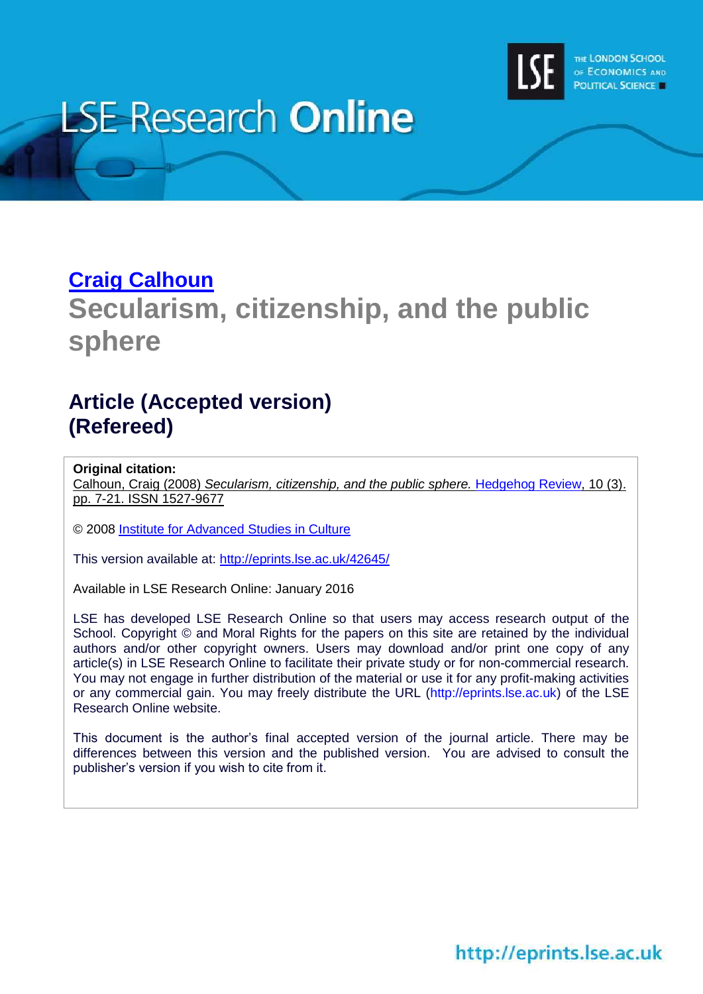

# **LSE Research Online**

### **[Craig Calhoun](http://www.lse.ac.uk/researchAndExpertise/Experts/profile.aspx?KeyValue=c.calhoun@lse.ac.uk)**

## **Secularism, citizenship, and the public sphere**

### **Article (Accepted version) (Refereed)**

#### **Original citation:**

Calhoun, Craig (2008) *Secularism, citizenship, and the public sphere.* [Hedgehog Review,](http://www.iasc-culture.org/THR/index.php) 10 (3). pp. 7-21. ISSN 1527-9677

© 2008 [Institute for Advanced Studies in Culture](http://www.iasc-culture.org/index.php)

This version available at:<http://eprints.lse.ac.uk/42645/>

Available in LSE Research Online: January 2016

LSE has developed LSE Research Online so that users may access research output of the School. Copyright © and Moral Rights for the papers on this site are retained by the individual authors and/or other copyright owners. Users may download and/or print one copy of any article(s) in LSE Research Online to facilitate their private study or for non-commercial research. You may not engage in further distribution of the material or use it for any profit-making activities or any commercial gain. You may freely distribute the URL (http://eprints.lse.ac.uk) of the LSE Research Online website.

This document is the author's final accepted version of the journal article. There may be differences between this version and the published version. You are advised to consult the publisher's version if you wish to cite from it.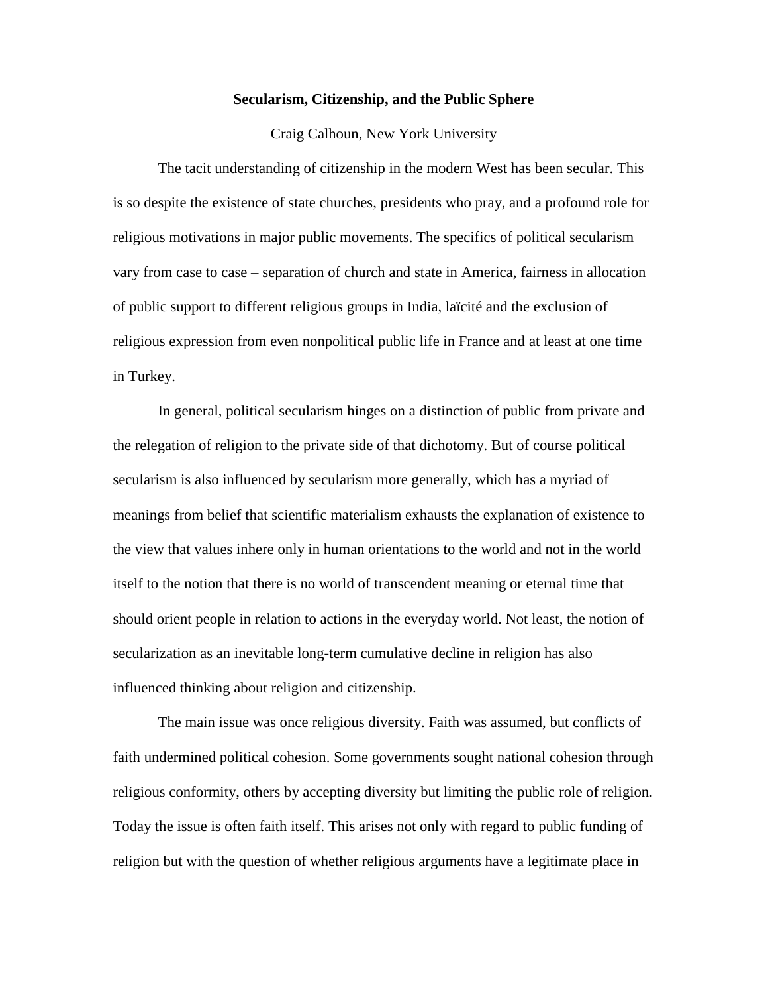#### **Secularism, Citizenship, and the Public Sphere**

Craig Calhoun, New York University

The tacit understanding of citizenship in the modern West has been secular. This is so despite the existence of state churches, presidents who pray, and a profound role for religious motivations in major public movements. The specifics of political secularism vary from case to case – separation of church and state in America, fairness in allocation of public support to different religious groups in India, laïcité and the exclusion of religious expression from even nonpolitical public life in France and at least at one time in Turkey.

In general, political secularism hinges on a distinction of public from private and the relegation of religion to the private side of that dichotomy. But of course political secularism is also influenced by secularism more generally, which has a myriad of meanings from belief that scientific materialism exhausts the explanation of existence to the view that values inhere only in human orientations to the world and not in the world itself to the notion that there is no world of transcendent meaning or eternal time that should orient people in relation to actions in the everyday world. Not least, the notion of secularization as an inevitable long-term cumulative decline in religion has also influenced thinking about religion and citizenship.

The main issue was once religious diversity. Faith was assumed, but conflicts of faith undermined political cohesion. Some governments sought national cohesion through religious conformity, others by accepting diversity but limiting the public role of religion. Today the issue is often faith itself. This arises not only with regard to public funding of religion but with the question of whether religious arguments have a legitimate place in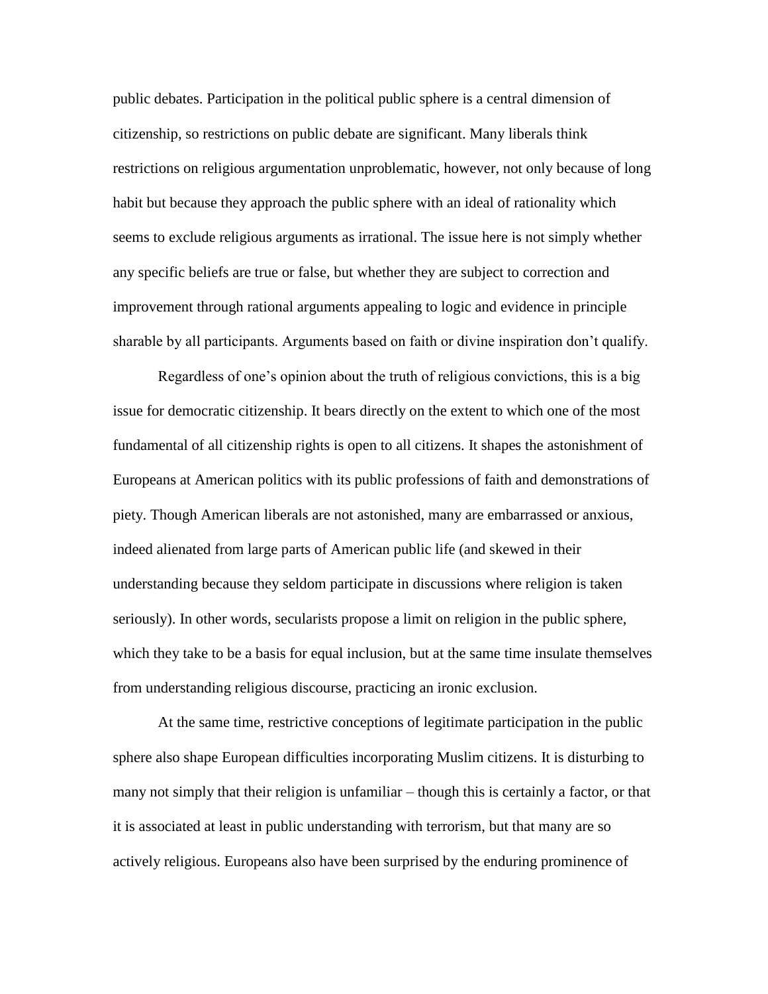public debates. Participation in the political public sphere is a central dimension of citizenship, so restrictions on public debate are significant. Many liberals think restrictions on religious argumentation unproblematic, however, not only because of long habit but because they approach the public sphere with an ideal of rationality which seems to exclude religious arguments as irrational. The issue here is not simply whether any specific beliefs are true or false, but whether they are subject to correction and improvement through rational arguments appealing to logic and evidence in principle sharable by all participants. Arguments based on faith or divine inspiration don't qualify.

Regardless of one's opinion about the truth of religious convictions, this is a big issue for democratic citizenship. It bears directly on the extent to which one of the most fundamental of all citizenship rights is open to all citizens. It shapes the astonishment of Europeans at American politics with its public professions of faith and demonstrations of piety. Though American liberals are not astonished, many are embarrassed or anxious, indeed alienated from large parts of American public life (and skewed in their understanding because they seldom participate in discussions where religion is taken seriously). In other words, secularists propose a limit on religion in the public sphere, which they take to be a basis for equal inclusion, but at the same time insulate themselves from understanding religious discourse, practicing an ironic exclusion.

At the same time, restrictive conceptions of legitimate participation in the public sphere also shape European difficulties incorporating Muslim citizens. It is disturbing to many not simply that their religion is unfamiliar – though this is certainly a factor, or that it is associated at least in public understanding with terrorism, but that many are so actively religious. Europeans also have been surprised by the enduring prominence of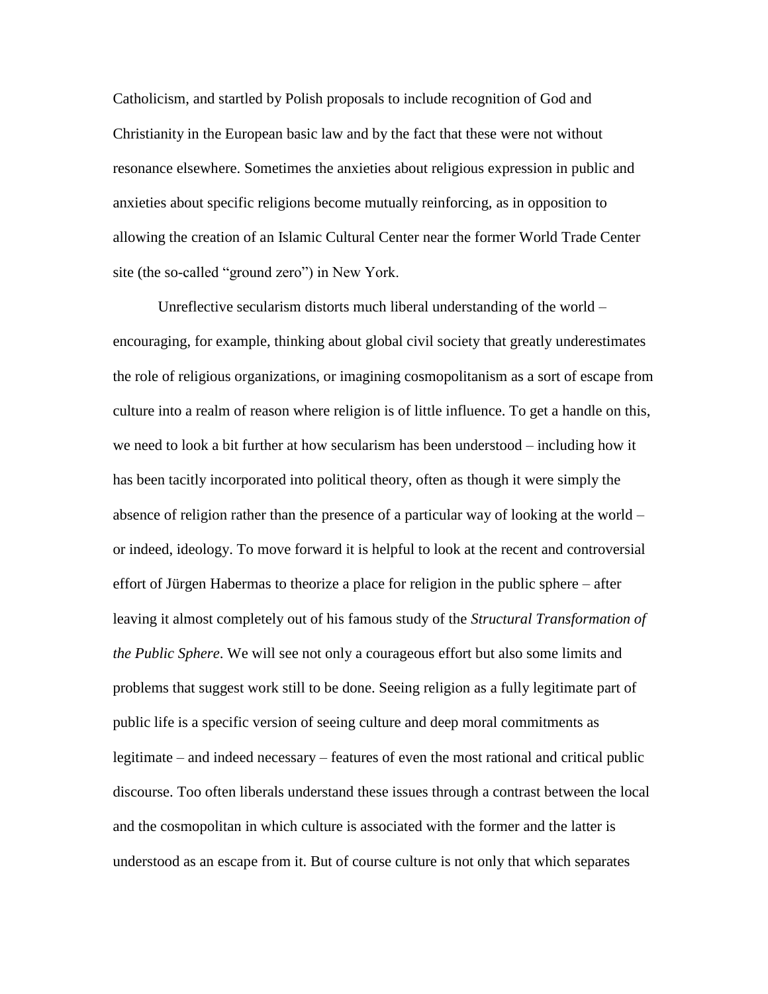Catholicism, and startled by Polish proposals to include recognition of God and Christianity in the European basic law and by the fact that these were not without resonance elsewhere. Sometimes the anxieties about religious expression in public and anxieties about specific religions become mutually reinforcing, as in opposition to allowing the creation of an Islamic Cultural Center near the former World Trade Center site (the so-called "ground zero") in New York.

Unreflective secularism distorts much liberal understanding of the world – encouraging, for example, thinking about global civil society that greatly underestimates the role of religious organizations, or imagining cosmopolitanism as a sort of escape from culture into a realm of reason where religion is of little influence. To get a handle on this, we need to look a bit further at how secularism has been understood – including how it has been tacitly incorporated into political theory, often as though it were simply the absence of religion rather than the presence of a particular way of looking at the world – or indeed, ideology. To move forward it is helpful to look at the recent and controversial effort of Jürgen Habermas to theorize a place for religion in the public sphere – after leaving it almost completely out of his famous study of the *Structural Transformation of the Public Sphere*. We will see not only a courageous effort but also some limits and problems that suggest work still to be done. Seeing religion as a fully legitimate part of public life is a specific version of seeing culture and deep moral commitments as legitimate – and indeed necessary – features of even the most rational and critical public discourse. Too often liberals understand these issues through a contrast between the local and the cosmopolitan in which culture is associated with the former and the latter is understood as an escape from it. But of course culture is not only that which separates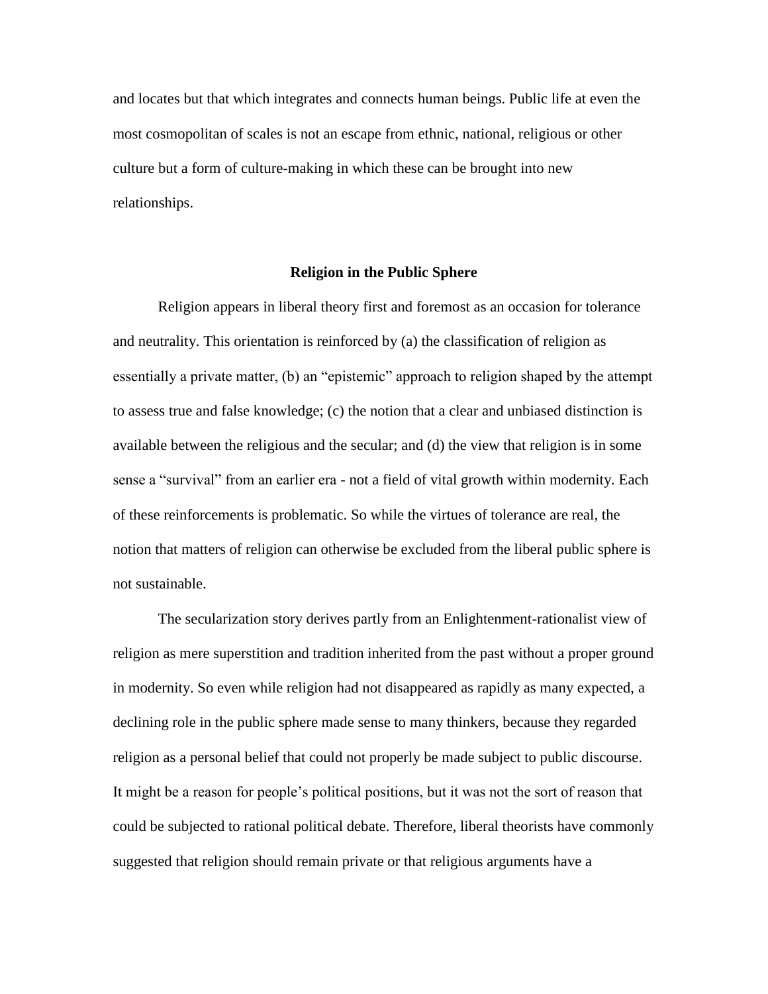and locates but that which integrates and connects human beings. Public life at even the most cosmopolitan of scales is not an escape from ethnic, national, religious or other culture but a form of culture-making in which these can be brought into new relationships.

#### **Religion in the Public Sphere**

Religion appears in liberal theory first and foremost as an occasion for tolerance and neutrality. This orientation is reinforced by (a) the classification of religion as essentially a private matter, (b) an "epistemic" approach to religion shaped by the attempt to assess true and false knowledge; (c) the notion that a clear and unbiased distinction is available between the religious and the secular; and (d) the view that religion is in some sense a "survival" from an earlier era - not a field of vital growth within modernity. Each of these reinforcements is problematic. So while the virtues of tolerance are real, the notion that matters of religion can otherwise be excluded from the liberal public sphere is not sustainable.

The secularization story derives partly from an Enlightenment-rationalist view of religion as mere superstition and tradition inherited from the past without a proper ground in modernity. So even while religion had not disappeared as rapidly as many expected, a declining role in the public sphere made sense to many thinkers, because they regarded religion as a personal belief that could not properly be made subject to public discourse. It might be a reason for people's political positions, but it was not the sort of reason that could be subjected to rational political debate. Therefore, liberal theorists have commonly suggested that religion should remain private or that religious arguments have a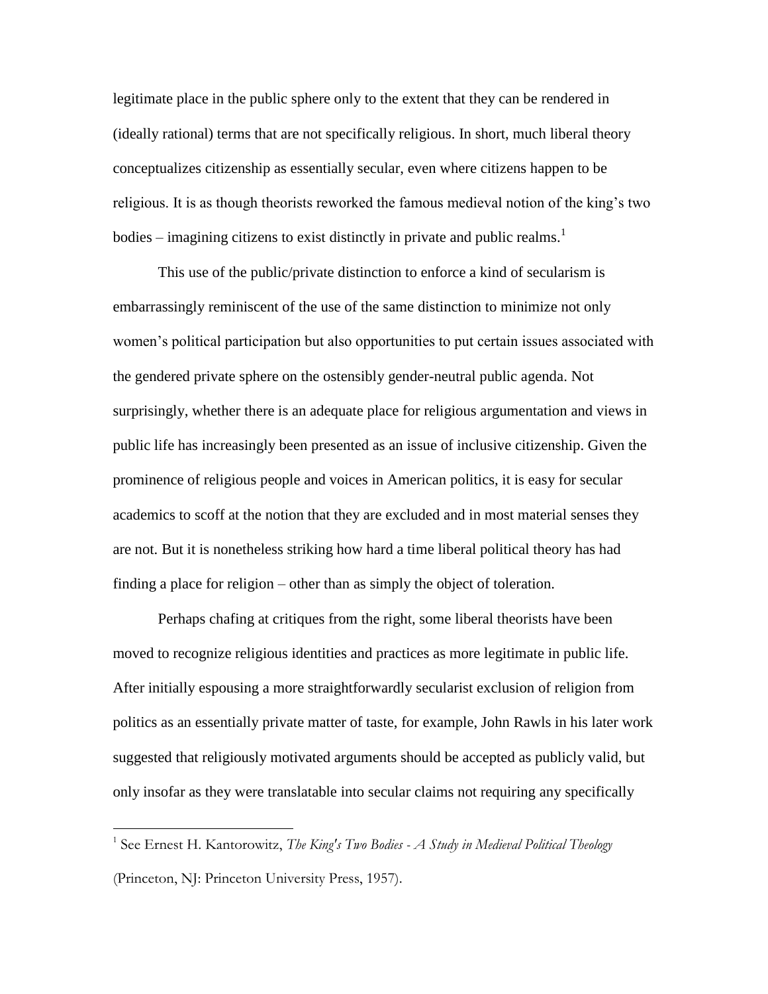legitimate place in the public sphere only to the extent that they can be rendered in (ideally rational) terms that are not specifically religious. In short, much liberal theory conceptualizes citizenship as essentially secular, even where citizens happen to be religious. It is as though theorists reworked the famous medieval notion of the king's two bodies – imagining citizens to exist distinctly in private and public realms.<sup>1</sup>

This use of the public/private distinction to enforce a kind of secularism is embarrassingly reminiscent of the use of the same distinction to minimize not only women's political participation but also opportunities to put certain issues associated with the gendered private sphere on the ostensibly gender-neutral public agenda. Not surprisingly, whether there is an adequate place for religious argumentation and views in public life has increasingly been presented as an issue of inclusive citizenship. Given the prominence of religious people and voices in American politics, it is easy for secular academics to scoff at the notion that they are excluded and in most material senses they are not. But it is nonetheless striking how hard a time liberal political theory has had finding a place for religion – other than as simply the object of toleration.

Perhaps chafing at critiques from the right, some liberal theorists have been moved to recognize religious identities and practices as more legitimate in public life. After initially espousing a more straightforwardly secularist exclusion of religion from politics as an essentially private matter of taste, for example, John Rawls in his later work suggested that religiously motivated arguments should be accepted as publicly valid, but only insofar as they were translatable into secular claims not requiring any specifically

<sup>1</sup> See Ernest H. Kantorowitz, *The King's Two Bodies - A Study in Medieval Political Theology* (Princeton, NJ: Princeton University Press, 1957).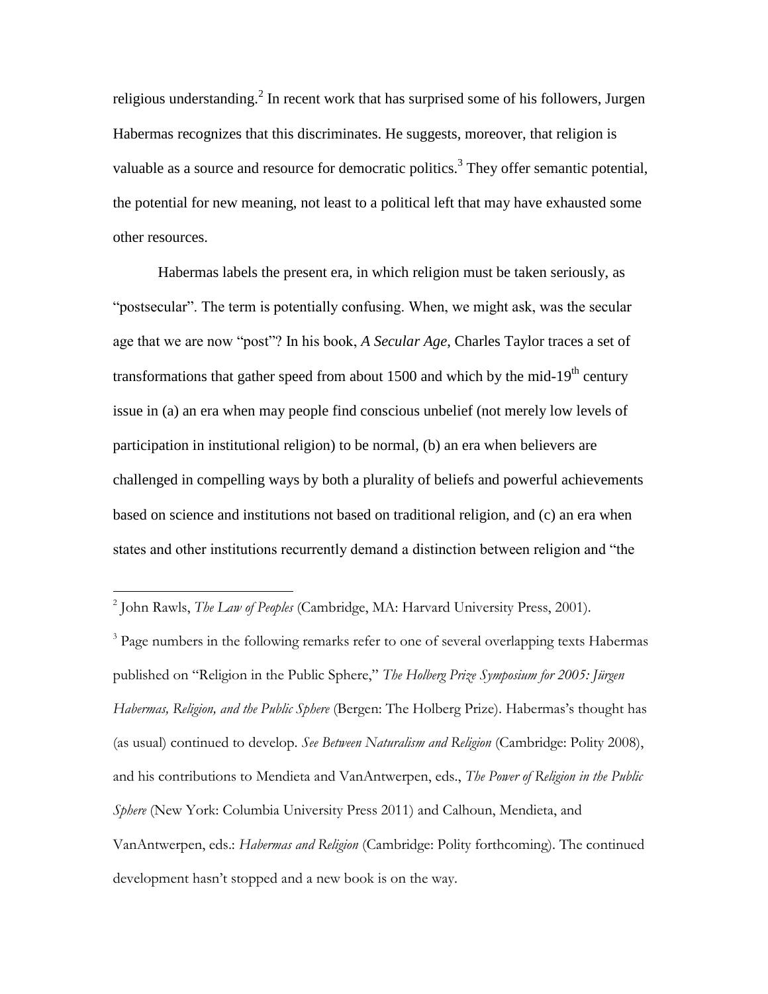religious understanding. $2$  In recent work that has surprised some of his followers, Jurgen Habermas recognizes that this discriminates. He suggests, moreover, that religion is valuable as a source and resource for democratic politics.<sup>3</sup> They offer semantic potential, the potential for new meaning, not least to a political left that may have exhausted some other resources.

Habermas labels the present era, in which religion must be taken seriously, as "postsecular". The term is potentially confusing. When, we might ask, was the secular age that we are now "post"? In his book, *A Secular Age*, Charles Taylor traces a set of transformations that gather speed from about 1500 and which by the mid-19<sup>th</sup> century issue in (a) an era when may people find conscious unbelief (not merely low levels of participation in institutional religion) to be normal, (b) an era when believers are challenged in compelling ways by both a plurality of beliefs and powerful achievements based on science and institutions not based on traditional religion, and (c) an era when states and other institutions recurrently demand a distinction between religion and "the

 $\overline{a}$ 

<sup>3</sup> Page numbers in the following remarks refer to one of several overlapping texts Habermas published on "Religion in the Public Sphere," *The Holberg Prize Symposium for 2005: Jürgen Habermas, Religion, and the Public Sphere* (Bergen: The Holberg Prize). Habermas's thought has (as usual) continued to develop. *See Between Naturalism and Religion* (Cambridge: Polity 2008), and his contributions to Mendieta and VanAntwerpen, eds., *The Power of Religion in the Public Sphere* (New York: Columbia University Press 2011) and Calhoun, Mendieta, and VanAntwerpen, eds.: *Habermas and Religion* (Cambridge: Polity forthcoming). The continued development hasn't stopped and a new book is on the way.

<sup>2</sup> John Rawls, *The Law of Peoples* (Cambridge, MA: Harvard University Press, 2001).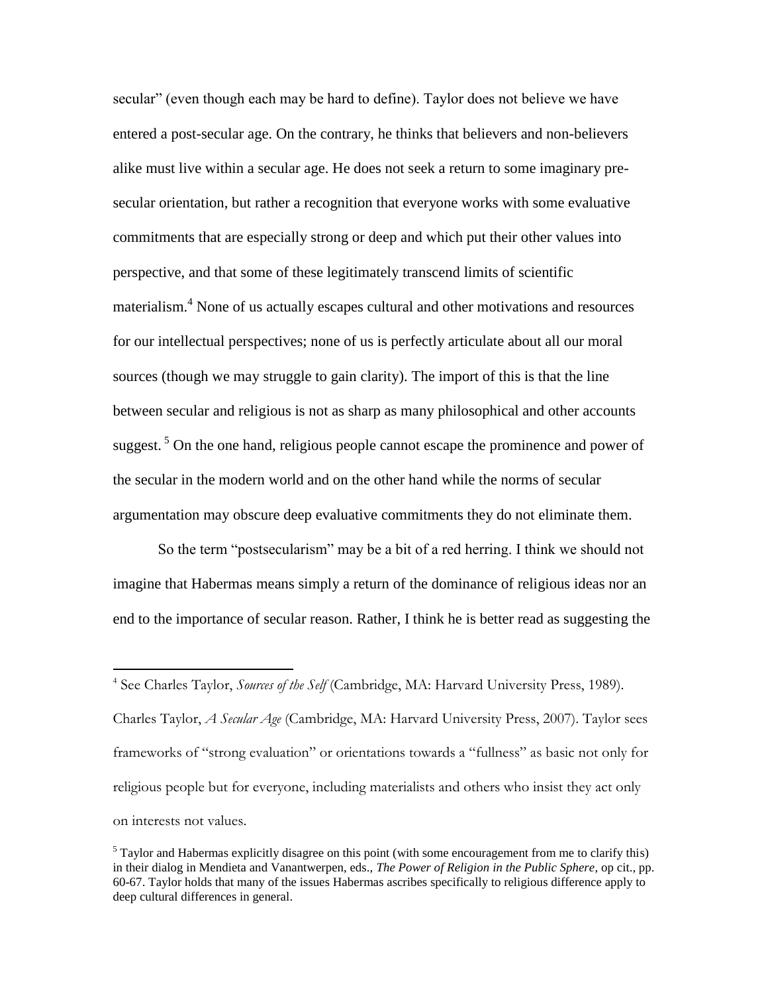secular" (even though each may be hard to define). Taylor does not believe we have entered a post-secular age. On the contrary, he thinks that believers and non-believers alike must live within a secular age. He does not seek a return to some imaginary presecular orientation, but rather a recognition that everyone works with some evaluative commitments that are especially strong or deep and which put their other values into perspective, and that some of these legitimately transcend limits of scientific materialism.<sup>4</sup> None of us actually escapes cultural and other motivations and resources for our intellectual perspectives; none of us is perfectly articulate about all our moral sources (though we may struggle to gain clarity). The import of this is that the line between secular and religious is not as sharp as many philosophical and other accounts suggest.<sup>5</sup> On the one hand, religious people cannot escape the prominence and power of the secular in the modern world and on the other hand while the norms of secular argumentation may obscure deep evaluative commitments they do not eliminate them.

So the term "postsecularism" may be a bit of a red herring. I think we should not imagine that Habermas means simply a return of the dominance of religious ideas nor an end to the importance of secular reason. Rather, I think he is better read as suggesting the

<sup>4</sup> See Charles Taylor, *Sources of the Self* (Cambridge, MA: Harvard University Press, 1989).

Charles Taylor, *A Secular Age* (Cambridge, MA: Harvard University Press, 2007). Taylor sees frameworks of "strong evaluation" or orientations towards a "fullness" as basic not only for religious people but for everyone, including materialists and others who insist they act only on interests not values.

 $<sup>5</sup>$  Taylor and Habermas explicitly disagree on this point (with some encouragement from me to clarify this)</sup> in their dialog in Mendieta and Vanantwerpen, eds., *The Power of Religion in the Public Sphere*, op cit., pp. 60-67. Taylor holds that many of the issues Habermas ascribes specifically to religious difference apply to deep cultural differences in general.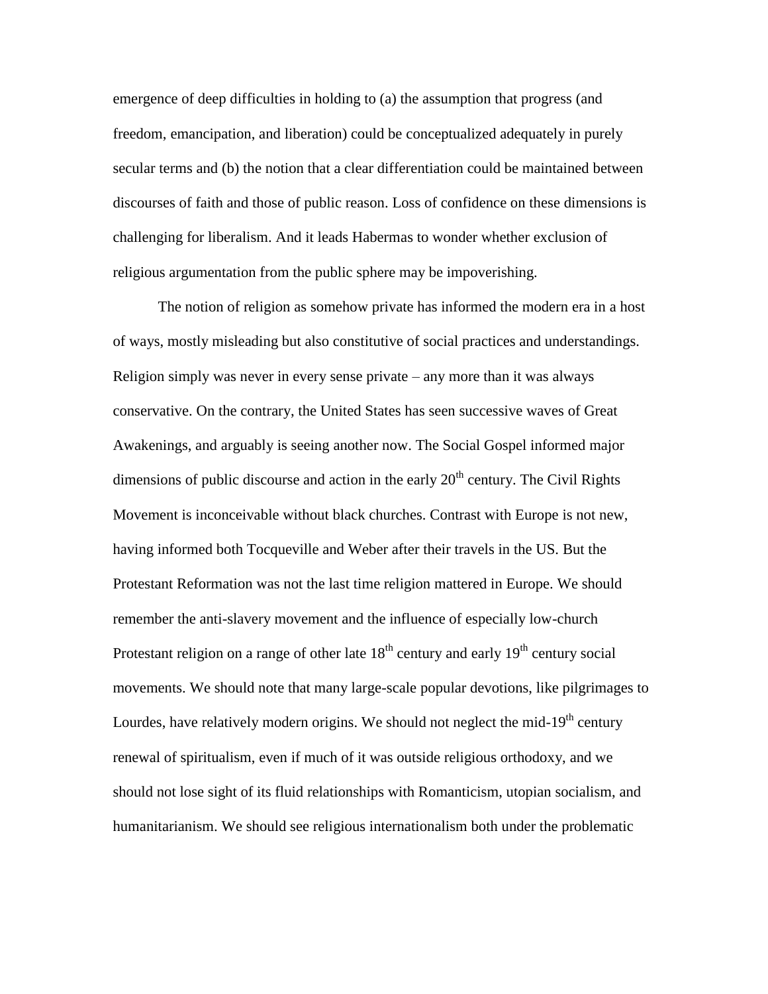emergence of deep difficulties in holding to (a) the assumption that progress (and freedom, emancipation, and liberation) could be conceptualized adequately in purely secular terms and (b) the notion that a clear differentiation could be maintained between discourses of faith and those of public reason. Loss of confidence on these dimensions is challenging for liberalism. And it leads Habermas to wonder whether exclusion of religious argumentation from the public sphere may be impoverishing.

The notion of religion as somehow private has informed the modern era in a host of ways, mostly misleading but also constitutive of social practices and understandings. Religion simply was never in every sense private – any more than it was always conservative. On the contrary, the United States has seen successive waves of Great Awakenings, and arguably is seeing another now. The Social Gospel informed major dimensions of public discourse and action in the early  $20<sup>th</sup>$  century. The Civil Rights Movement is inconceivable without black churches. Contrast with Europe is not new, having informed both Tocqueville and Weber after their travels in the US. But the Protestant Reformation was not the last time religion mattered in Europe. We should remember the anti-slavery movement and the influence of especially low-church Protestant religion on a range of other late  $18<sup>th</sup>$  century and early  $19<sup>th</sup>$  century social movements. We should note that many large-scale popular devotions, like pilgrimages to Lourdes, have relatively modern origins. We should not neglect the mid- $19<sup>th</sup>$  century renewal of spiritualism, even if much of it was outside religious orthodoxy, and we should not lose sight of its fluid relationships with Romanticism, utopian socialism, and humanitarianism. We should see religious internationalism both under the problematic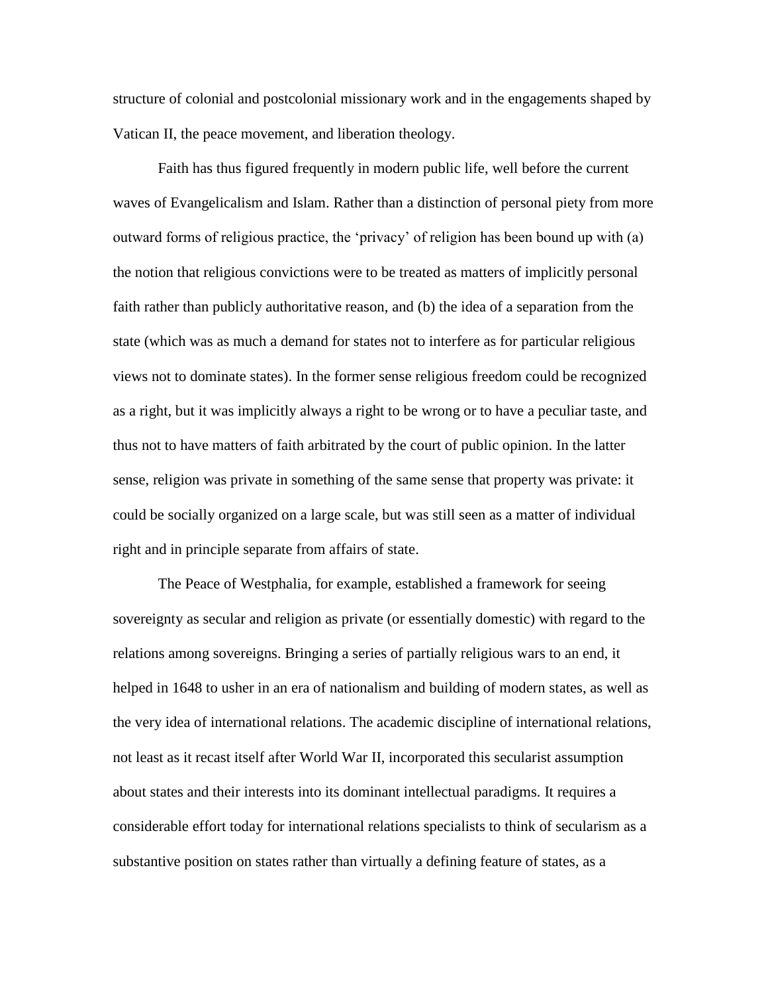structure of colonial and postcolonial missionary work and in the engagements shaped by Vatican II, the peace movement, and liberation theology.

Faith has thus figured frequently in modern public life, well before the current waves of Evangelicalism and Islam. Rather than a distinction of personal piety from more outward forms of religious practice, the 'privacy' of religion has been bound up with (a) the notion that religious convictions were to be treated as matters of implicitly personal faith rather than publicly authoritative reason, and (b) the idea of a separation from the state (which was as much a demand for states not to interfere as for particular religious views not to dominate states). In the former sense religious freedom could be recognized as a right, but it was implicitly always a right to be wrong or to have a peculiar taste, and thus not to have matters of faith arbitrated by the court of public opinion. In the latter sense, religion was private in something of the same sense that property was private: it could be socially organized on a large scale, but was still seen as a matter of individual right and in principle separate from affairs of state.

The Peace of Westphalia, for example, established a framework for seeing sovereignty as secular and religion as private (or essentially domestic) with regard to the relations among sovereigns. Bringing a series of partially religious wars to an end, it helped in 1648 to usher in an era of nationalism and building of modern states, as well as the very idea of international relations. The academic discipline of international relations, not least as it recast itself after World War II, incorporated this secularist assumption about states and their interests into its dominant intellectual paradigms. It requires a considerable effort today for international relations specialists to think of secularism as a substantive position on states rather than virtually a defining feature of states, as a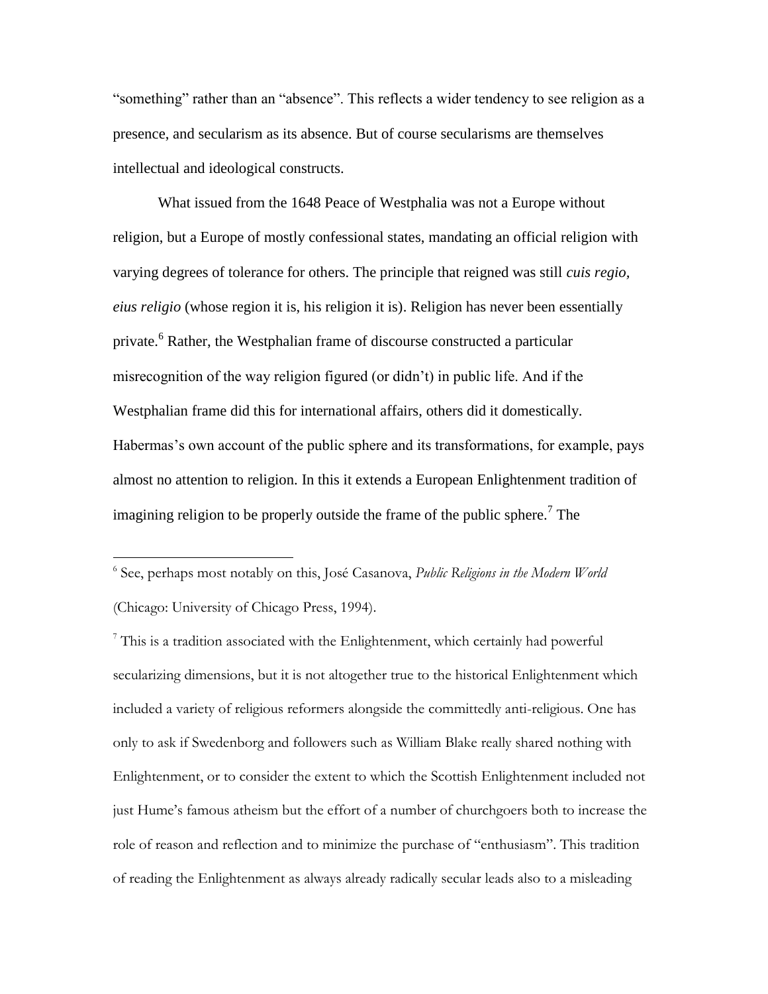"something" rather than an "absence". This reflects a wider tendency to see religion as a presence, and secularism as its absence. But of course secularisms are themselves intellectual and ideological constructs.

What issued from the 1648 Peace of Westphalia was not a Europe without religion, but a Europe of mostly confessional states, mandating an official religion with varying degrees of tolerance for others. The principle that reigned was still *cuis regio, eius religio* (whose region it is, his religion it is). Religion has never been essentially private.<sup>6</sup> Rather, the Westphalian frame of discourse constructed a particular misrecognition of the way religion figured (or didn't) in public life. And if the Westphalian frame did this for international affairs, others did it domestically. Habermas's own account of the public sphere and its transformations, for example, pays almost no attention to religion. In this it extends a European Enlightenment tradition of imagining religion to be properly outside the frame of the public sphere.<sup>7</sup> The

 $\overline{a}$ 

 $7$  This is a tradition associated with the Enlightenment, which certainly had powerful secularizing dimensions, but it is not altogether true to the historical Enlightenment which included a variety of religious reformers alongside the committedly anti-religious. One has only to ask if Swedenborg and followers such as William Blake really shared nothing with Enlightenment, or to consider the extent to which the Scottish Enlightenment included not just Hume's famous atheism but the effort of a number of churchgoers both to increase the role of reason and reflection and to minimize the purchase of "enthusiasm". This tradition of reading the Enlightenment as always already radically secular leads also to a misleading

<sup>6</sup> See, perhaps most notably on this, José Casanova, *Public Religions in the Modern World* (Chicago: University of Chicago Press, 1994).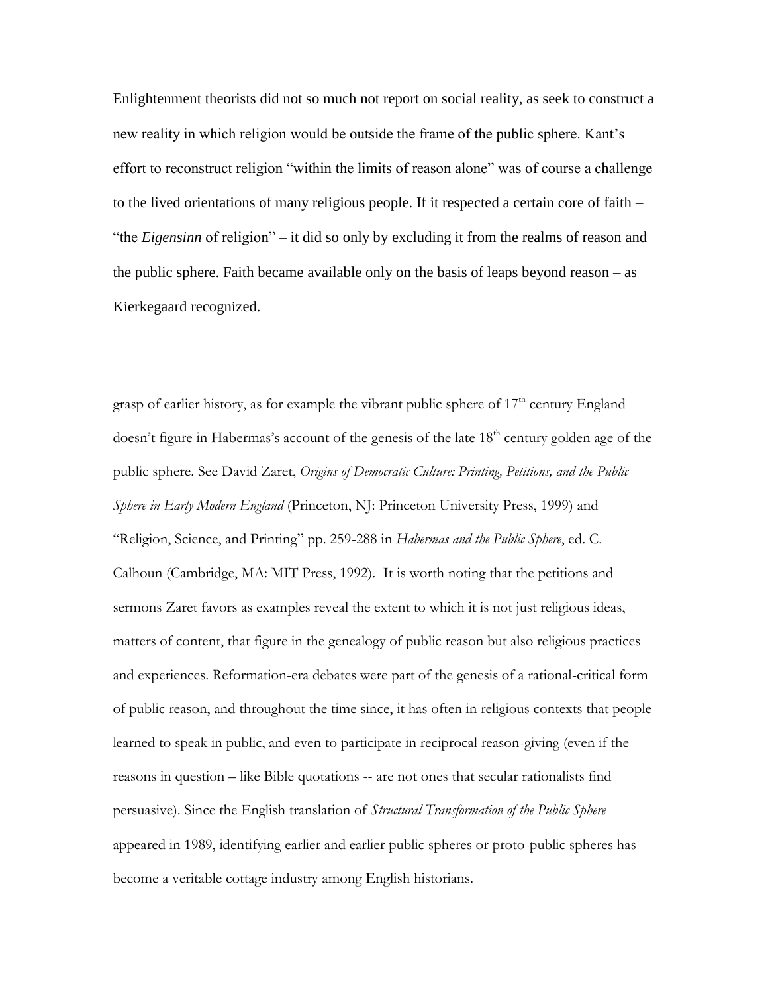Enlightenment theorists did not so much not report on social reality, as seek to construct a new reality in which religion would be outside the frame of the public sphere. Kant's effort to reconstruct religion "within the limits of reason alone" was of course a challenge to the lived orientations of many religious people. If it respected a certain core of faith – "the *Eigensinn* of religion" – it did so only by excluding it from the realms of reason and the public sphere. Faith became available only on the basis of leaps beyond reason – as Kierkegaard recognized.

 $\overline{a}$ 

grasp of earlier history, as for example the vibrant public sphere of  $17<sup>th</sup>$  century England doesn't figure in Habermas's account of the genesis of the late  $18<sup>th</sup>$  century golden age of the public sphere. See David Zaret, *Origins of Democratic Culture: Printing, Petitions, and the Public Sphere in Early Modern England* (Princeton, NJ: Princeton University Press, 1999) and "Religion, Science, and Printing" pp. 259-288 in *Habermas and the Public Sphere*, ed. C. Calhoun (Cambridge, MA: MIT Press, 1992). It is worth noting that the petitions and sermons Zaret favors as examples reveal the extent to which it is not just religious ideas, matters of content, that figure in the genealogy of public reason but also religious practices and experiences. Reformation-era debates were part of the genesis of a rational-critical form of public reason, and throughout the time since, it has often in religious contexts that people learned to speak in public, and even to participate in reciprocal reason-giving (even if the reasons in question – like Bible quotations -- are not ones that secular rationalists find persuasive). Since the English translation of *Structural Transformation of the Public Sphere* appeared in 1989, identifying earlier and earlier public spheres or proto-public spheres has become a veritable cottage industry among English historians.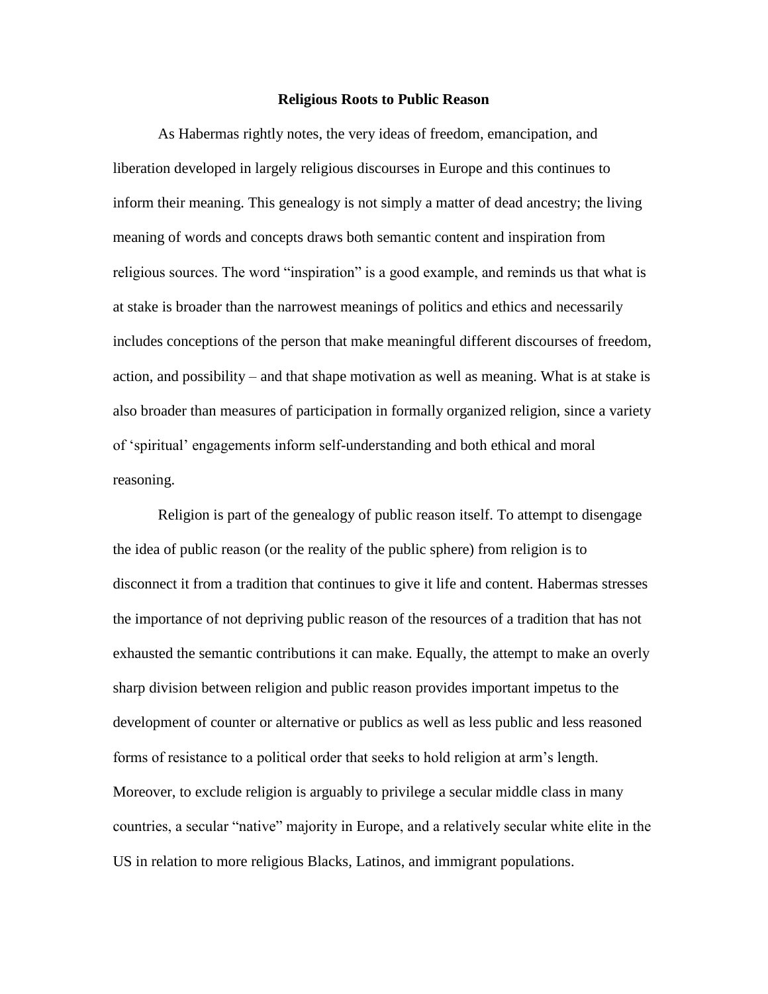#### **Religious Roots to Public Reason**

As Habermas rightly notes, the very ideas of freedom, emancipation, and liberation developed in largely religious discourses in Europe and this continues to inform their meaning. This genealogy is not simply a matter of dead ancestry; the living meaning of words and concepts draws both semantic content and inspiration from religious sources. The word "inspiration" is a good example, and reminds us that what is at stake is broader than the narrowest meanings of politics and ethics and necessarily includes conceptions of the person that make meaningful different discourses of freedom, action, and possibility – and that shape motivation as well as meaning. What is at stake is also broader than measures of participation in formally organized religion, since a variety of 'spiritual' engagements inform self-understanding and both ethical and moral reasoning.

Religion is part of the genealogy of public reason itself. To attempt to disengage the idea of public reason (or the reality of the public sphere) from religion is to disconnect it from a tradition that continues to give it life and content. Habermas stresses the importance of not depriving public reason of the resources of a tradition that has not exhausted the semantic contributions it can make. Equally, the attempt to make an overly sharp division between religion and public reason provides important impetus to the development of counter or alternative or publics as well as less public and less reasoned forms of resistance to a political order that seeks to hold religion at arm's length. Moreover, to exclude religion is arguably to privilege a secular middle class in many countries, a secular "native" majority in Europe, and a relatively secular white elite in the US in relation to more religious Blacks, Latinos, and immigrant populations.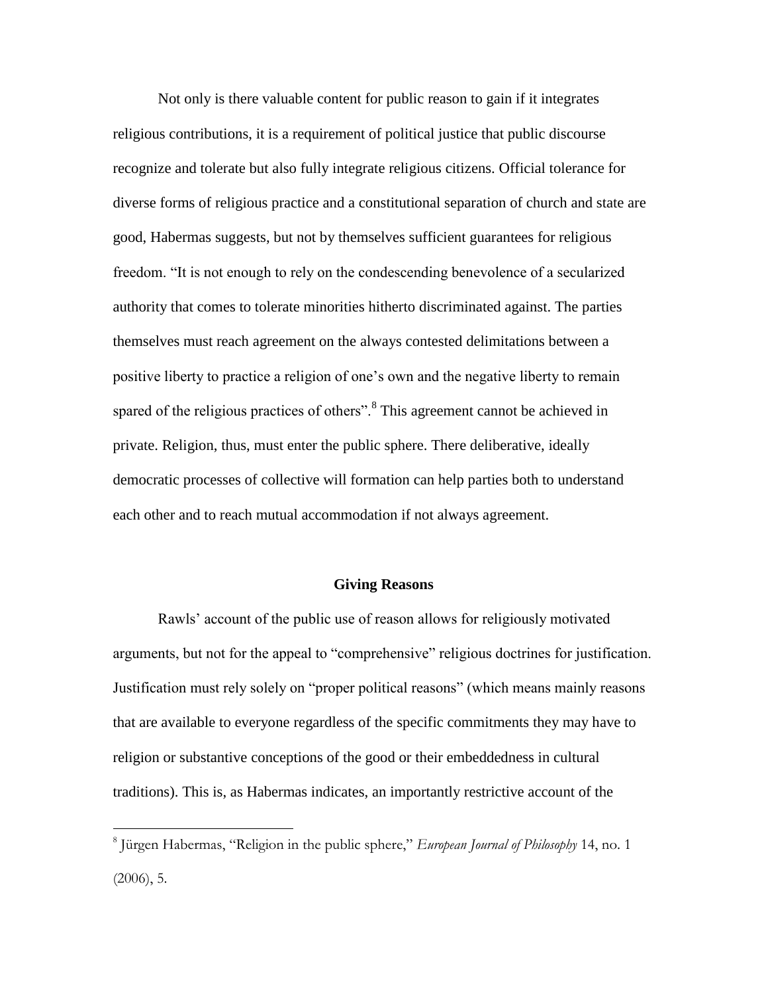Not only is there valuable content for public reason to gain if it integrates religious contributions, it is a requirement of political justice that public discourse recognize and tolerate but also fully integrate religious citizens. Official tolerance for diverse forms of religious practice and a constitutional separation of church and state are good, Habermas suggests, but not by themselves sufficient guarantees for religious freedom. "It is not enough to rely on the condescending benevolence of a secularized authority that comes to tolerate minorities hitherto discriminated against. The parties themselves must reach agreement on the always contested delimitations between a positive liberty to practice a religion of one's own and the negative liberty to remain spared of the religious practices of others".<sup>8</sup> This agreement cannot be achieved in private. Religion, thus, must enter the public sphere. There deliberative, ideally democratic processes of collective will formation can help parties both to understand each other and to reach mutual accommodation if not always agreement.

#### **Giving Reasons**

Rawls' account of the public use of reason allows for religiously motivated arguments, but not for the appeal to "comprehensive" religious doctrines for justification. Justification must rely solely on "proper political reasons" (which means mainly reasons that are available to everyone regardless of the specific commitments they may have to religion or substantive conceptions of the good or their embeddedness in cultural traditions). This is, as Habermas indicates, an importantly restrictive account of the

<sup>8</sup> Jürgen Habermas, "Religion in the public sphere," *European Journal of Philosophy* 14, no. 1  $(2006)$ , 5.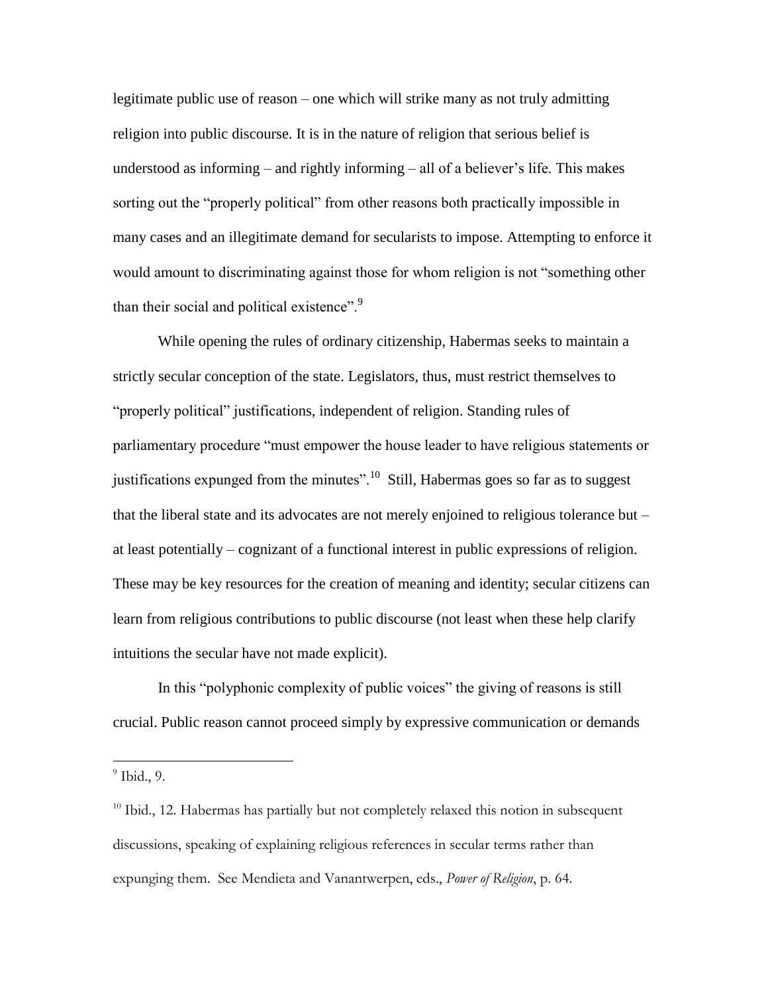legitimate public use of reason – one which will strike many as not truly admitting religion into public discourse. It is in the nature of religion that serious belief is understood as informing – and rightly informing – all of a believer's life. This makes sorting out the "properly political" from other reasons both practically impossible in many cases and an illegitimate demand for secularists to impose. Attempting to enforce it would amount to discriminating against those for whom religion is not "something other than their social and political existence".<sup>9</sup>

While opening the rules of ordinary citizenship, Habermas seeks to maintain a strictly secular conception of the state. Legislators, thus, must restrict themselves to "properly political" justifications, independent of religion. Standing rules of parliamentary procedure "must empower the house leader to have religious statements or justifications expunged from the minutes". $^{10}$  Still, Habermas goes so far as to suggest that the liberal state and its advocates are not merely enjoined to religious tolerance but – at least potentially – cognizant of a functional interest in public expressions of religion. These may be key resources for the creation of meaning and identity; secular citizens can learn from religious contributions to public discourse (not least when these help clarify intuitions the secular have not made explicit).

In this "polyphonic complexity of public voices" the giving of reasons is still crucial. Public reason cannot proceed simply by expressive communication or demands

 $<sup>9</sup>$  Ibid., 9.</sup>

 $\overline{a}$ 

 $10$  Ibid., 12. Habermas has partially but not completely relaxed this notion in subsequent discussions, speaking of explaining religious references in secular terms rather than expunging them. See Mendieta and Vanantwerpen, eds., *Power of Religion*, p. 64.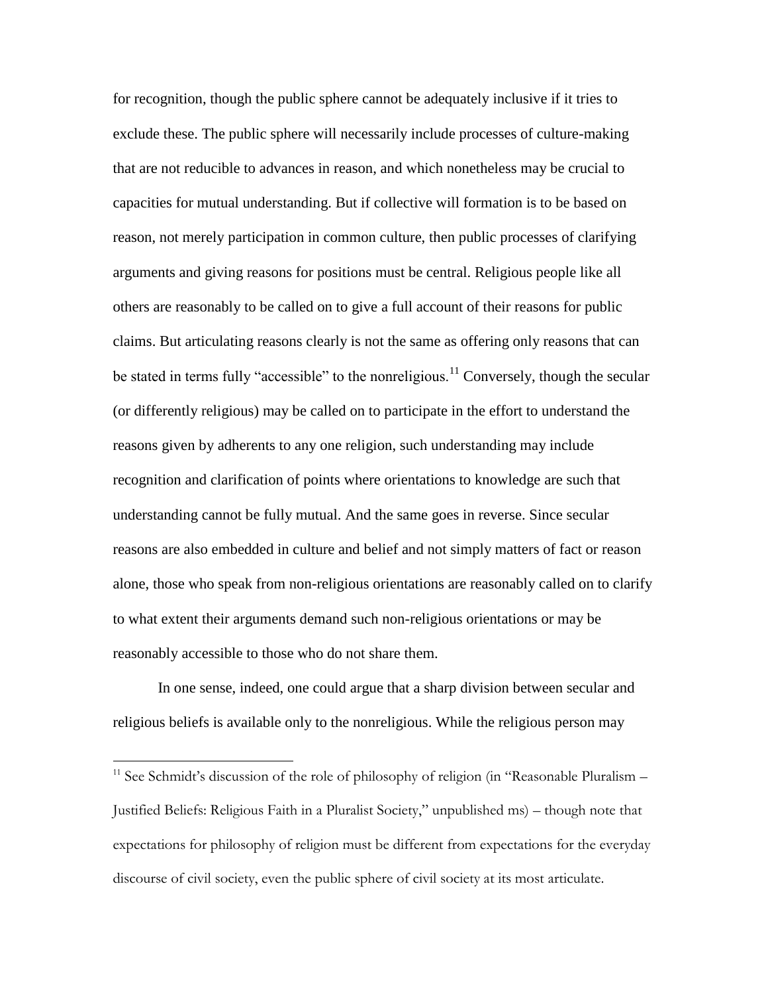for recognition, though the public sphere cannot be adequately inclusive if it tries to exclude these. The public sphere will necessarily include processes of culture-making that are not reducible to advances in reason, and which nonetheless may be crucial to capacities for mutual understanding. But if collective will formation is to be based on reason, not merely participation in common culture, then public processes of clarifying arguments and giving reasons for positions must be central. Religious people like all others are reasonably to be called on to give a full account of their reasons for public claims. But articulating reasons clearly is not the same as offering only reasons that can be stated in terms fully "accessible" to the nonreligious.<sup>11</sup> Conversely, though the secular (or differently religious) may be called on to participate in the effort to understand the reasons given by adherents to any one religion, such understanding may include recognition and clarification of points where orientations to knowledge are such that understanding cannot be fully mutual. And the same goes in reverse. Since secular reasons are also embedded in culture and belief and not simply matters of fact or reason alone, those who speak from non-religious orientations are reasonably called on to clarify to what extent their arguments demand such non-religious orientations or may be reasonably accessible to those who do not share them.

In one sense, indeed, one could argue that a sharp division between secular and religious beliefs is available only to the nonreligious. While the religious person may

 $11$  See Schmidt's discussion of the role of philosophy of religion (in "Reasonable Pluralism – Justified Beliefs: Religious Faith in a Pluralist Society," unpublished ms) – though note that expectations for philosophy of religion must be different from expectations for the everyday discourse of civil society, even the public sphere of civil society at its most articulate.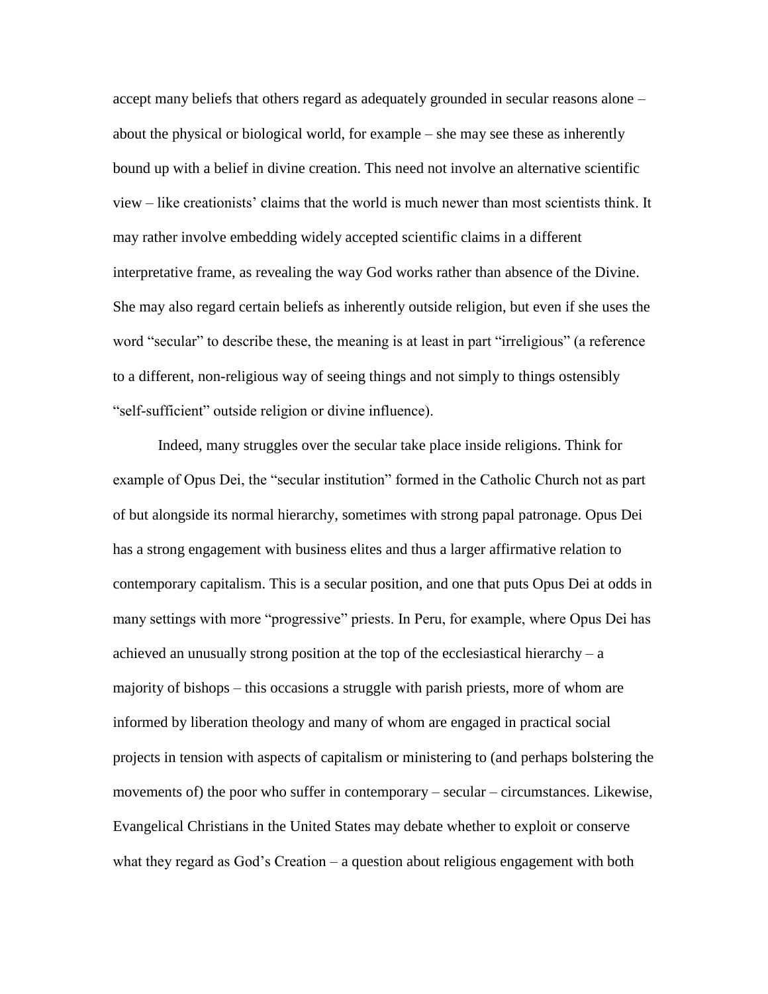accept many beliefs that others regard as adequately grounded in secular reasons alone – about the physical or biological world, for example – she may see these as inherently bound up with a belief in divine creation. This need not involve an alternative scientific view – like creationists' claims that the world is much newer than most scientists think. It may rather involve embedding widely accepted scientific claims in a different interpretative frame, as revealing the way God works rather than absence of the Divine. She may also regard certain beliefs as inherently outside religion, but even if she uses the word "secular" to describe these, the meaning is at least in part "irreligious" (a reference to a different, non-religious way of seeing things and not simply to things ostensibly "self-sufficient" outside religion or divine influence).

Indeed, many struggles over the secular take place inside religions. Think for example of Opus Dei, the "secular institution" formed in the Catholic Church not as part of but alongside its normal hierarchy, sometimes with strong papal patronage. Opus Dei has a strong engagement with business elites and thus a larger affirmative relation to contemporary capitalism. This is a secular position, and one that puts Opus Dei at odds in many settings with more "progressive" priests. In Peru, for example, where Opus Dei has achieved an unusually strong position at the top of the ecclesiastical hierarchy –  $a$ majority of bishops – this occasions a struggle with parish priests, more of whom are informed by liberation theology and many of whom are engaged in practical social projects in tension with aspects of capitalism or ministering to (and perhaps bolstering the movements of) the poor who suffer in contemporary – secular – circumstances. Likewise, Evangelical Christians in the United States may debate whether to exploit or conserve what they regard as God's Creation – a question about religious engagement with both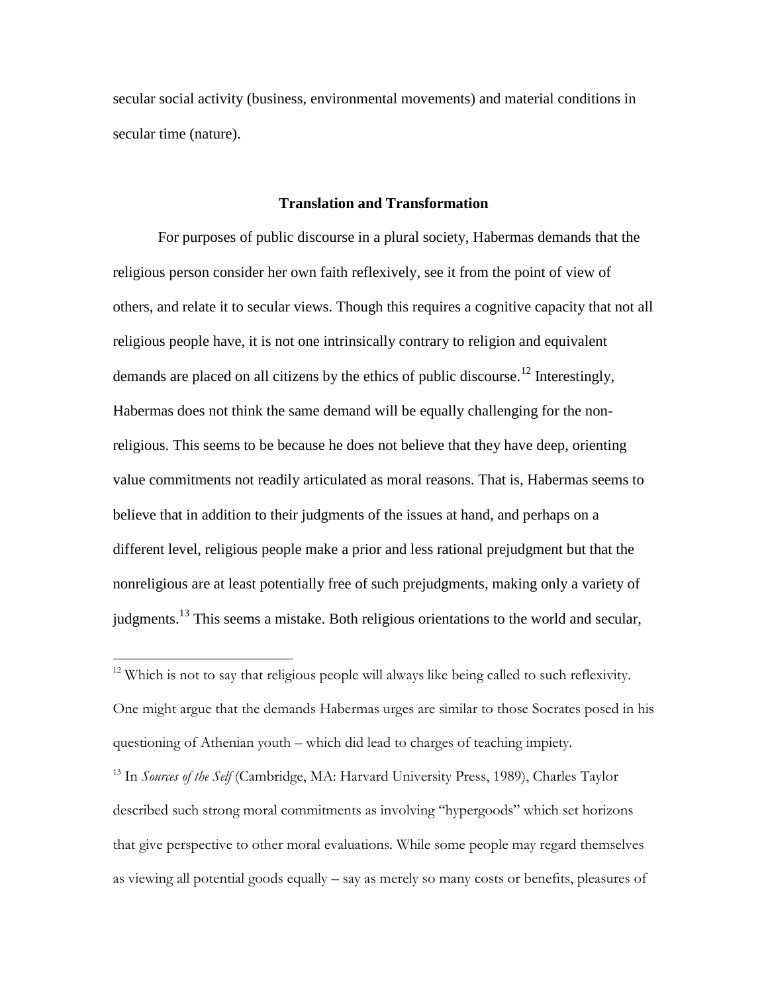secular social activity (business, environmental movements) and material conditions in secular time (nature).

#### **Translation and Transformation**

For purposes of public discourse in a plural society, Habermas demands that the religious person consider her own faith reflexively, see it from the point of view of others, and relate it to secular views. Though this requires a cognitive capacity that not all religious people have, it is not one intrinsically contrary to religion and equivalent demands are placed on all citizens by the ethics of public discourse.<sup>12</sup> Interestingly, Habermas does not think the same demand will be equally challenging for the nonreligious. This seems to be because he does not believe that they have deep, orienting value commitments not readily articulated as moral reasons. That is, Habermas seems to believe that in addition to their judgments of the issues at hand, and perhaps on a different level, religious people make a prior and less rational prejudgment but that the nonreligious are at least potentially free of such prejudgments, making only a variety of judgments.<sup>13</sup> This seems a mistake. Both religious orientations to the world and secular,

 $12$  Which is not to say that religious people will always like being called to such reflexivity. One might argue that the demands Habermas urges are similar to those Socrates posed in his questioning of Athenian youth – which did lead to charges of teaching impiety. <sup>13</sup> In *Sources of the Self* (Cambridge, MA: Harvard University Press, 1989), Charles Taylor

 $\overline{a}$ 

described such strong moral commitments as involving "hypergoods" which set horizons that give perspective to other moral evaluations. While some people may regard themselves as viewing all potential goods equally – say as merely so many costs or benefits, pleasures of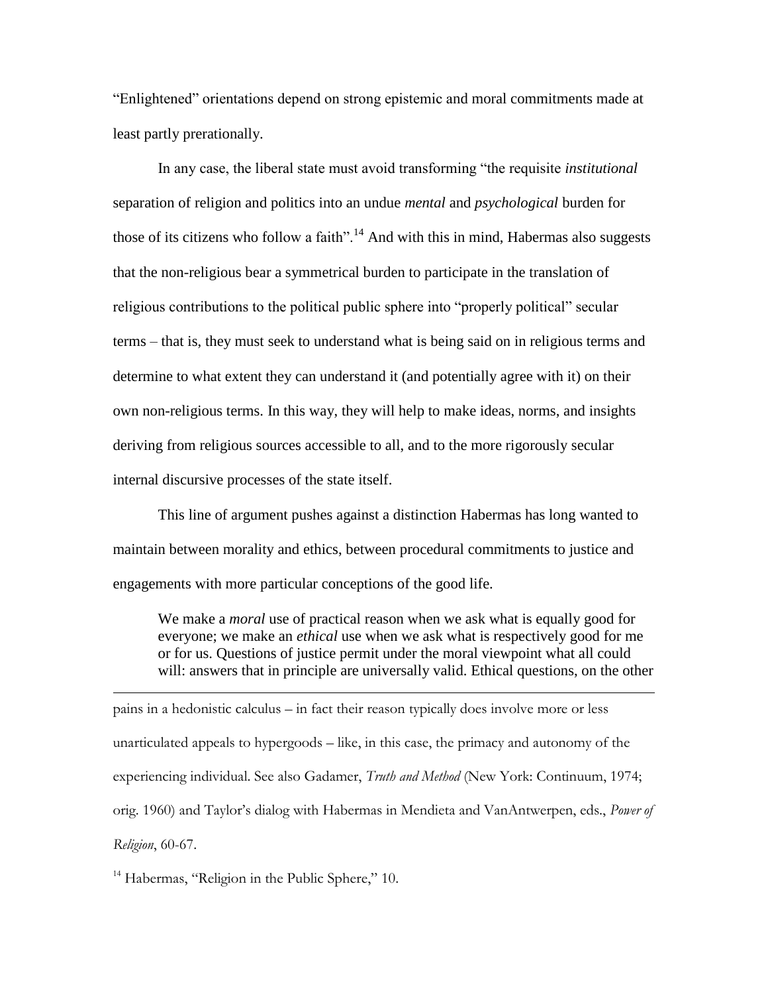"Enlightened" orientations depend on strong epistemic and moral commitments made at least partly prerationally.

In any case, the liberal state must avoid transforming "the requisite *institutional* separation of religion and politics into an undue *mental* and *psychological* burden for those of its citizens who follow a faith".<sup>14</sup> And with this in mind, Habermas also suggests that the non-religious bear a symmetrical burden to participate in the translation of religious contributions to the political public sphere into "properly political" secular terms – that is, they must seek to understand what is being said on in religious terms and determine to what extent they can understand it (and potentially agree with it) on their own non-religious terms. In this way, they will help to make ideas, norms, and insights deriving from religious sources accessible to all, and to the more rigorously secular internal discursive processes of the state itself.

This line of argument pushes against a distinction Habermas has long wanted to maintain between morality and ethics, between procedural commitments to justice and engagements with more particular conceptions of the good life.

We make a *moral* use of practical reason when we ask what is equally good for everyone; we make an *ethical* use when we ask what is respectively good for me or for us. Questions of justice permit under the moral viewpoint what all could will: answers that in principle are universally valid. Ethical questions, on the other

pains in a hedonistic calculus – in fact their reason typically does involve more or less unarticulated appeals to hypergoods – like, in this case, the primacy and autonomy of the experiencing individual. See also Gadamer, *Truth and Method* (New York: Continuum, 1974; orig. 1960) and Taylor's dialog with Habermas in Mendieta and VanAntwerpen, eds., *Power of Religion*, 60-67.

<sup>14</sup> Habermas, "Religion in the Public Sphere," 10.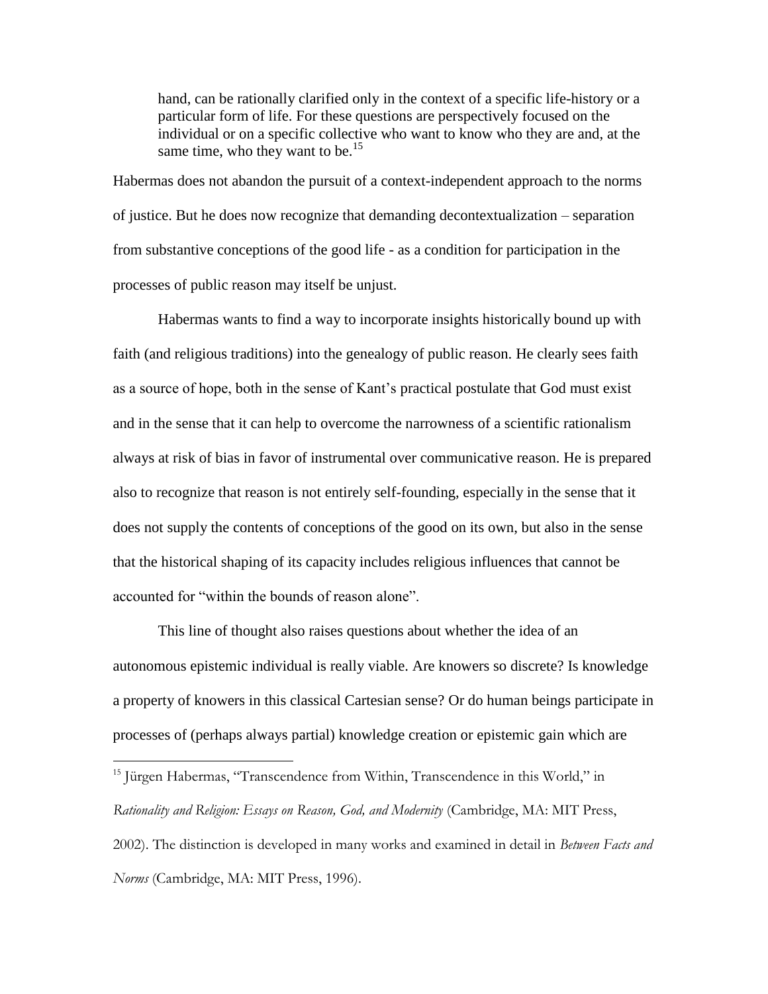hand, can be rationally clarified only in the context of a specific life-history or a particular form of life. For these questions are perspectively focused on the individual or on a specific collective who want to know who they are and, at the same time, who they want to be.<sup>15</sup>

Habermas does not abandon the pursuit of a context-independent approach to the norms of justice. But he does now recognize that demanding decontextualization – separation from substantive conceptions of the good life - as a condition for participation in the processes of public reason may itself be unjust.

Habermas wants to find a way to incorporate insights historically bound up with faith (and religious traditions) into the genealogy of public reason. He clearly sees faith as a source of hope, both in the sense of Kant's practical postulate that God must exist and in the sense that it can help to overcome the narrowness of a scientific rationalism always at risk of bias in favor of instrumental over communicative reason. He is prepared also to recognize that reason is not entirely self-founding, especially in the sense that it does not supply the contents of conceptions of the good on its own, but also in the sense that the historical shaping of its capacity includes religious influences that cannot be accounted for "within the bounds of reason alone".

This line of thought also raises questions about whether the idea of an autonomous epistemic individual is really viable. Are knowers so discrete? Is knowledge a property of knowers in this classical Cartesian sense? Or do human beings participate in processes of (perhaps always partial) knowledge creation or epistemic gain which are

<sup>&</sup>lt;sup>15</sup> Jürgen Habermas, "Transcendence from Within, Transcendence in this World," in *Rationality and Religion: Essays on Reason, God, and Modernity* (Cambridge, MA: MIT Press, 2002). The distinction is developed in many works and examined in detail in *Between Facts and Norms* (Cambridge, MA: MIT Press, 1996).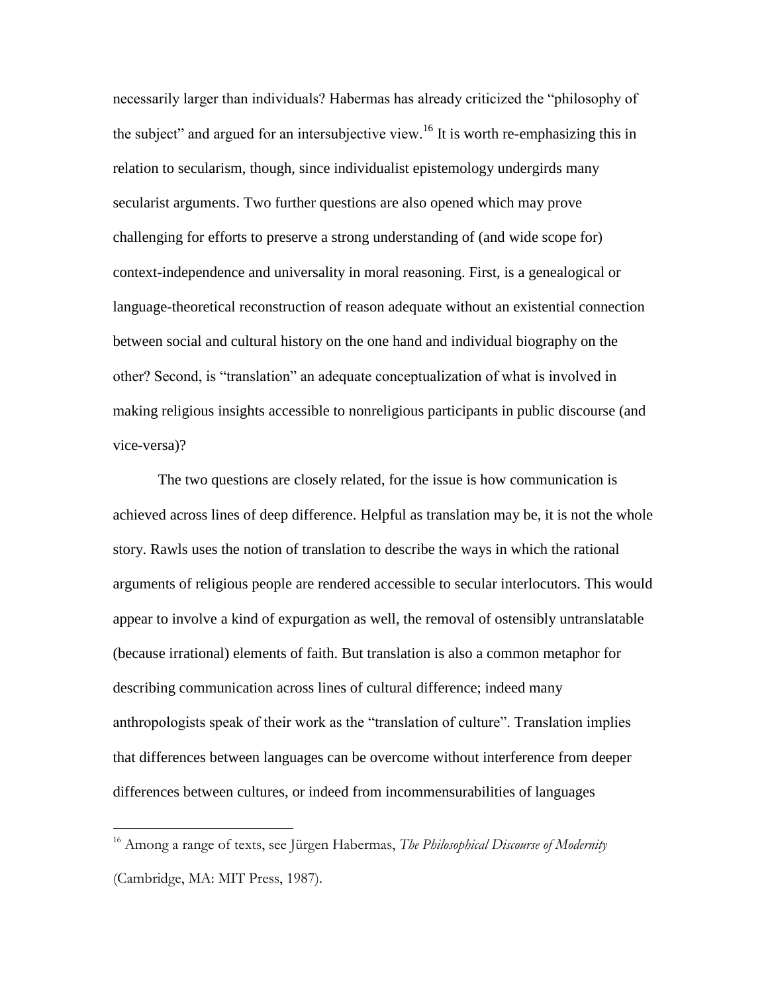necessarily larger than individuals? Habermas has already criticized the "philosophy of the subject" and argued for an intersubjective view.<sup>16</sup> It is worth re-emphasizing this in relation to secularism, though, since individualist epistemology undergirds many secularist arguments. Two further questions are also opened which may prove challenging for efforts to preserve a strong understanding of (and wide scope for) context-independence and universality in moral reasoning. First, is a genealogical or language-theoretical reconstruction of reason adequate without an existential connection between social and cultural history on the one hand and individual biography on the other? Second, is "translation" an adequate conceptualization of what is involved in making religious insights accessible to nonreligious participants in public discourse (and vice-versa)?

The two questions are closely related, for the issue is how communication is achieved across lines of deep difference. Helpful as translation may be, it is not the whole story. Rawls uses the notion of translation to describe the ways in which the rational arguments of religious people are rendered accessible to secular interlocutors. This would appear to involve a kind of expurgation as well, the removal of ostensibly untranslatable (because irrational) elements of faith. But translation is also a common metaphor for describing communication across lines of cultural difference; indeed many anthropologists speak of their work as the "translation of culture". Translation implies that differences between languages can be overcome without interference from deeper differences between cultures, or indeed from incommensurabilities of languages

<sup>16</sup> Among a range of texts, see Jürgen Habermas, *The Philosophical Discourse of Modernity* (Cambridge, MA: MIT Press, 1987).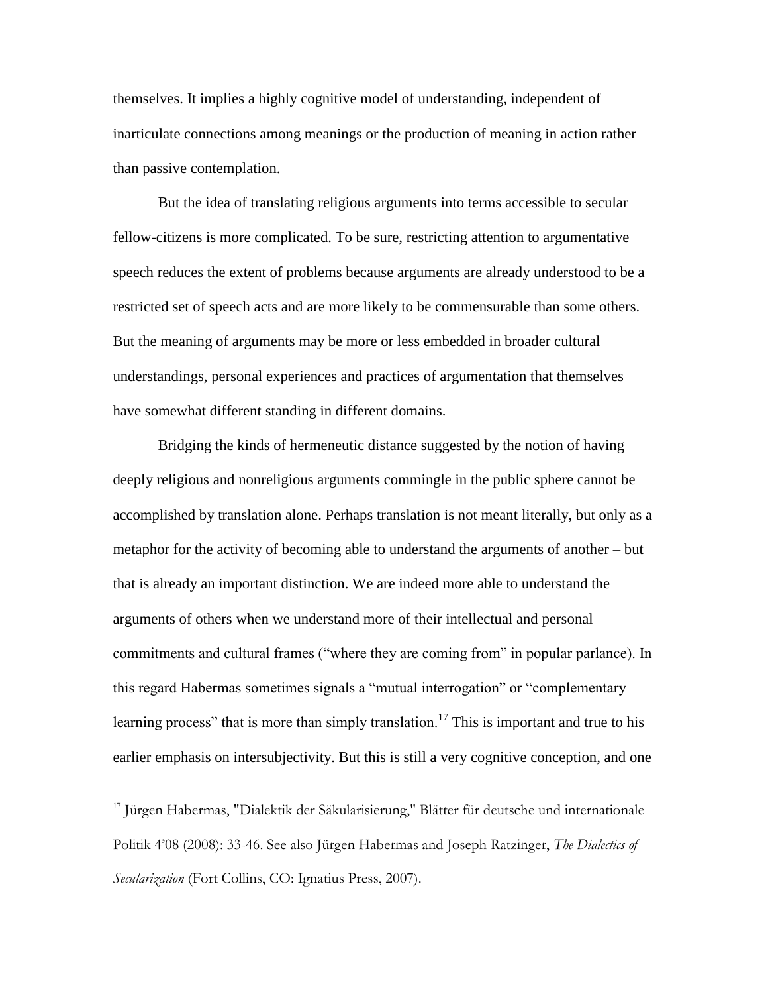themselves. It implies a highly cognitive model of understanding, independent of inarticulate connections among meanings or the production of meaning in action rather than passive contemplation.

But the idea of translating religious arguments into terms accessible to secular fellow-citizens is more complicated. To be sure, restricting attention to argumentative speech reduces the extent of problems because arguments are already understood to be a restricted set of speech acts and are more likely to be commensurable than some others. But the meaning of arguments may be more or less embedded in broader cultural understandings, personal experiences and practices of argumentation that themselves have somewhat different standing in different domains.

Bridging the kinds of hermeneutic distance suggested by the notion of having deeply religious and nonreligious arguments commingle in the public sphere cannot be accomplished by translation alone. Perhaps translation is not meant literally, but only as a metaphor for the activity of becoming able to understand the arguments of another – but that is already an important distinction. We are indeed more able to understand the arguments of others when we understand more of their intellectual and personal commitments and cultural frames ("where they are coming from" in popular parlance). In this regard Habermas sometimes signals a "mutual interrogation" or "complementary learning process" that is more than simply translation.<sup>17</sup> This is important and true to his earlier emphasis on intersubjectivity. But this is still a very cognitive conception, and one

<sup>&</sup>lt;sup>17</sup> Jürgen Habermas, "Dialektik der Säkularisierung," Blätter für deutsche und internationale Politik 4'08 (2008): 33-46. See also Jürgen Habermas and Joseph Ratzinger, *The Dialectics of Secularization* (Fort Collins, CO: Ignatius Press, 2007).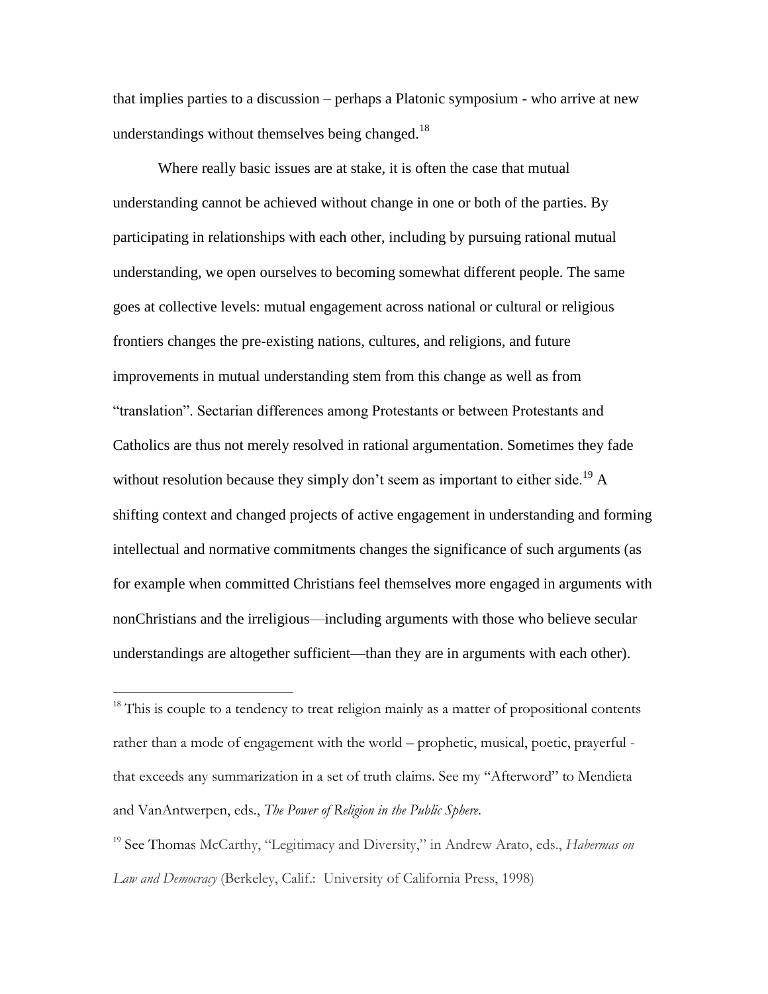that implies parties to a discussion – perhaps a Platonic symposium - who arrive at new understandings without themselves being changed.<sup>18</sup>

Where really basic issues are at stake, it is often the case that mutual understanding cannot be achieved without change in one or both of the parties. By participating in relationships with each other, including by pursuing rational mutual understanding, we open ourselves to becoming somewhat different people. The same goes at collective levels: mutual engagement across national or cultural or religious frontiers changes the pre-existing nations, cultures, and religions, and future improvements in mutual understanding stem from this change as well as from "translation". Sectarian differences among Protestants or between Protestants and Catholics are thus not merely resolved in rational argumentation. Sometimes they fade without resolution because they simply don't seem as important to either side.<sup>19</sup> A shifting context and changed projects of active engagement in understanding and forming intellectual and normative commitments changes the significance of such arguments (as for example when committed Christians feel themselves more engaged in arguments with nonChristians and the irreligious—including arguments with those who believe secular understandings are altogether sufficient—than they are in arguments with each other).

 $18$  This is couple to a tendency to treat religion mainly as a matter of propositional contents rather than a mode of engagement with the world – prophetic, musical, poetic, prayerful that exceeds any summarization in a set of truth claims. See my "Afterword" to Mendieta and VanAntwerpen, eds., *The Power of Religion in the Public Sphere*.

<sup>19</sup> See Thomas McCarthy, "Legitimacy and Diversity," in Andrew Arato, eds., *Habermas on Law and Democracy* (Berkeley, Calif.: University of California Press, 1998)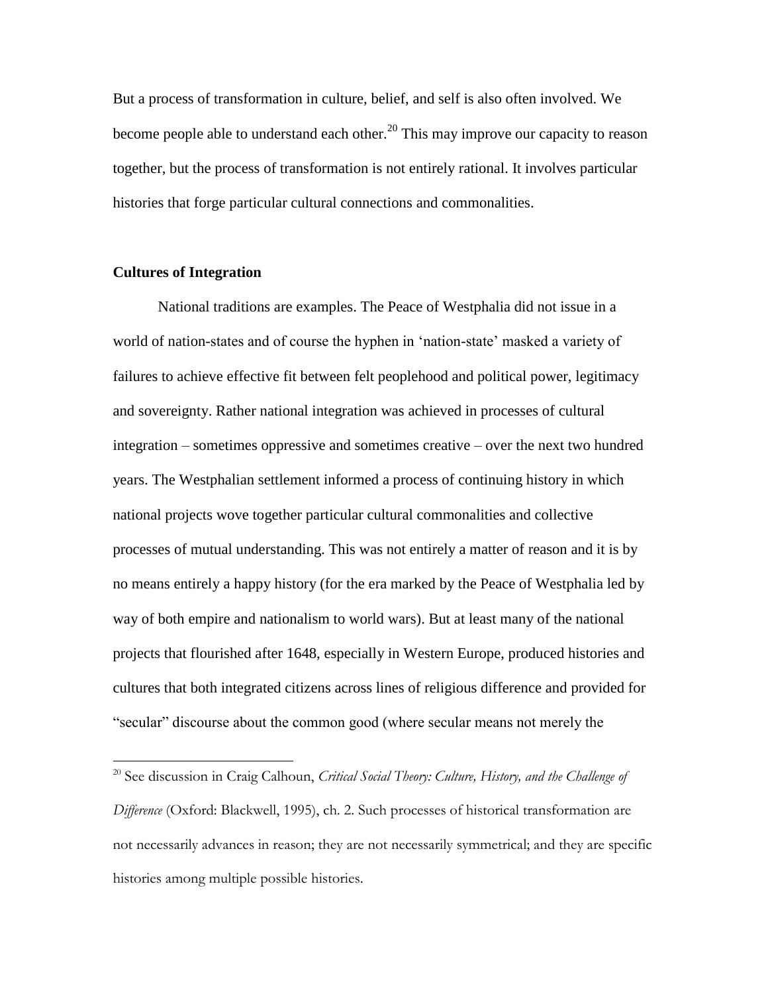But a process of transformation in culture, belief, and self is also often involved. We become people able to understand each other.<sup>20</sup> This may improve our capacity to reason together, but the process of transformation is not entirely rational. It involves particular histories that forge particular cultural connections and commonalities.

#### **Cultures of Integration**

 $\overline{a}$ 

National traditions are examples. The Peace of Westphalia did not issue in a world of nation-states and of course the hyphen in 'nation-state' masked a variety of failures to achieve effective fit between felt peoplehood and political power, legitimacy and sovereignty. Rather national integration was achieved in processes of cultural integration – sometimes oppressive and sometimes creative – over the next two hundred years. The Westphalian settlement informed a process of continuing history in which national projects wove together particular cultural commonalities and collective processes of mutual understanding. This was not entirely a matter of reason and it is by no means entirely a happy history (for the era marked by the Peace of Westphalia led by way of both empire and nationalism to world wars). But at least many of the national projects that flourished after 1648, especially in Western Europe, produced histories and cultures that both integrated citizens across lines of religious difference and provided for "secular" discourse about the common good (where secular means not merely the

<sup>&</sup>lt;sup>20</sup> See discussion in Craig Calhoun, *Critical Social Theory: Culture, History, and the Challenge of Difference* (Oxford: Blackwell, 1995), ch. 2. Such processes of historical transformation are not necessarily advances in reason; they are not necessarily symmetrical; and they are specific histories among multiple possible histories.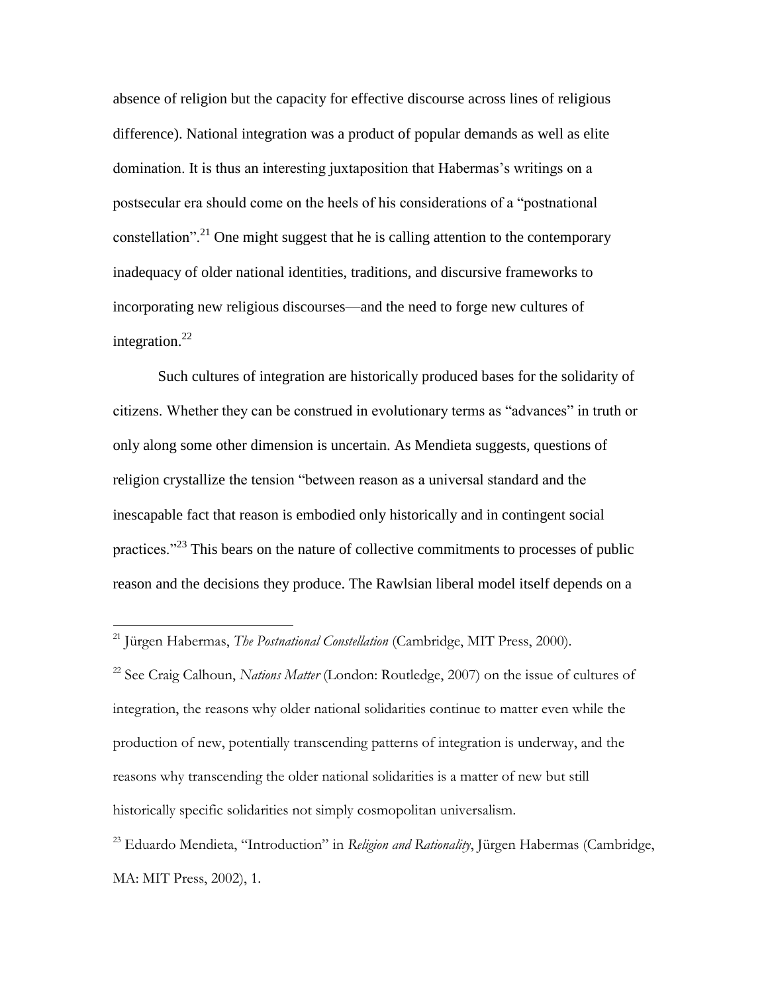absence of religion but the capacity for effective discourse across lines of religious difference). National integration was a product of popular demands as well as elite domination. It is thus an interesting juxtaposition that Habermas's writings on a postsecular era should come on the heels of his considerations of a "postnational constellation".<sup>21</sup> One might suggest that he is calling attention to the contemporary inadequacy of older national identities, traditions, and discursive frameworks to incorporating new religious discourses—and the need to forge new cultures of integration. $^{22}$ 

Such cultures of integration are historically produced bases for the solidarity of citizens. Whether they can be construed in evolutionary terms as "advances" in truth or only along some other dimension is uncertain. As Mendieta suggests, questions of religion crystallize the tension "between reason as a universal standard and the inescapable fact that reason is embodied only historically and in contingent social practices."<sup>23</sup> This bears on the nature of collective commitments to processes of public reason and the decisions they produce. The Rawlsian liberal model itself depends on a

 $\overline{a}$ 

<sup>22</sup> See Craig Calhoun, *Nations Matter* (London: Routledge, 2007) on the issue of cultures of integration, the reasons why older national solidarities continue to matter even while the production of new, potentially transcending patterns of integration is underway, and the reasons why transcending the older national solidarities is a matter of new but still historically specific solidarities not simply cosmopolitan universalism.

<sup>23</sup> Eduardo Mendieta, "Introduction" in *Religion and Rationality*, Jürgen Habermas (Cambridge, MA: MIT Press, 2002), 1.

<sup>21</sup> Jürgen Habermas, *The Postnational Constellation* (Cambridge, MIT Press, 2000).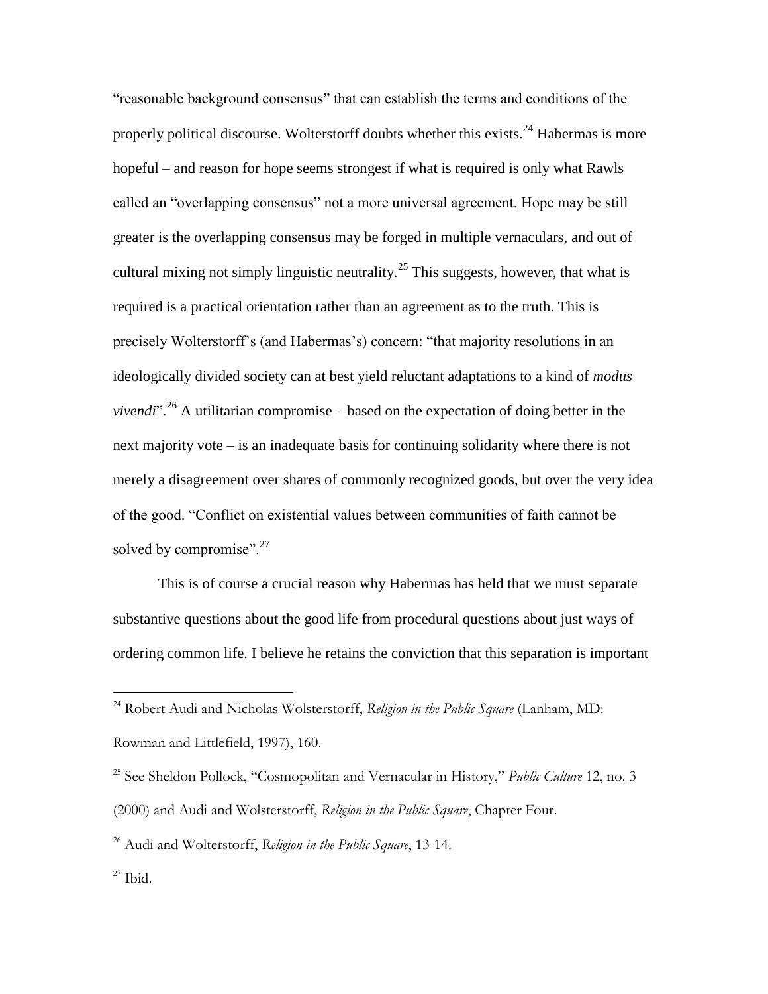"reasonable background consensus" that can establish the terms and conditions of the properly political discourse. Wolterstorff doubts whether this exists.<sup>24</sup> Habermas is more hopeful – and reason for hope seems strongest if what is required is only what Rawls called an "overlapping consensus" not a more universal agreement. Hope may be still greater is the overlapping consensus may be forged in multiple vernaculars, and out of cultural mixing not simply linguistic neutrality.<sup>25</sup> This suggests, however, that what is required is a practical orientation rather than an agreement as to the truth. This is precisely Wolterstorff's (and Habermas's) concern: "that majority resolutions in an ideologically divided society can at best yield reluctant adaptations to a kind of *modus vivendi*".<sup>26</sup> A utilitarian compromise – based on the expectation of doing better in the next majority vote – is an inadequate basis for continuing solidarity where there is not merely a disagreement over shares of commonly recognized goods, but over the very idea of the good. "Conflict on existential values between communities of faith cannot be solved by compromise".<sup>27</sup>

This is of course a crucial reason why Habermas has held that we must separate substantive questions about the good life from procedural questions about just ways of ordering common life. I believe he retains the conviction that this separation is important

<sup>24</sup> Robert Audi and Nicholas Wolsterstorff, *Religion in the Public Square* (Lanham, MD: Rowman and Littlefield, 1997), 160.

<sup>25</sup> See Sheldon Pollock, "Cosmopolitan and Vernacular in History," *Public Culture* 12, no. 3 (2000) and Audi and Wolsterstorff, *Religion in the Public Square*, Chapter Four.

<sup>26</sup> Audi and Wolterstorff, *Religion in the Public Square*, 13-14.

 $27$  Ibid.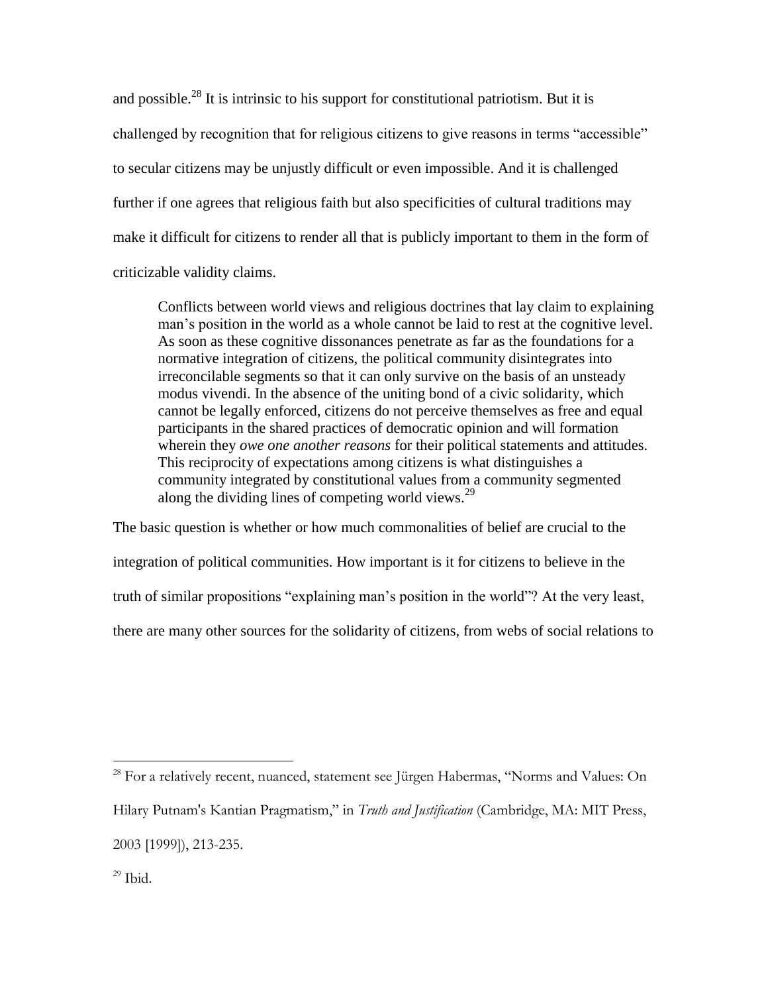and possible.<sup>28</sup> It is intrinsic to his support for constitutional patriotism. But it is challenged by recognition that for religious citizens to give reasons in terms "accessible" to secular citizens may be unjustly difficult or even impossible. And it is challenged further if one agrees that religious faith but also specificities of cultural traditions may make it difficult for citizens to render all that is publicly important to them in the form of criticizable validity claims.

Conflicts between world views and religious doctrines that lay claim to explaining man's position in the world as a whole cannot be laid to rest at the cognitive level. As soon as these cognitive dissonances penetrate as far as the foundations for a normative integration of citizens, the political community disintegrates into irreconcilable segments so that it can only survive on the basis of an unsteady modus vivendi. In the absence of the uniting bond of a civic solidarity, which cannot be legally enforced, citizens do not perceive themselves as free and equal participants in the shared practices of democratic opinion and will formation wherein they *owe one another reasons* for their political statements and attitudes. This reciprocity of expectations among citizens is what distinguishes a community integrated by constitutional values from a community segmented along the dividing lines of competing world views. $29$ 

The basic question is whether or how much commonalities of belief are crucial to the integration of political communities. How important is it for citizens to believe in the truth of similar propositions "explaining man's position in the world"? At the very least, there are many other sources for the solidarity of citizens, from webs of social relations to

 $^{28}$  For a relatively recent, nuanced, statement see Jürgen Habermas, "Norms and Values: On Hilary Putnam's Kantian Pragmatism," in *Truth and Justification* (Cambridge, MA: MIT Press, 2003 [1999]), 213-235.

 $29$  Ibid.